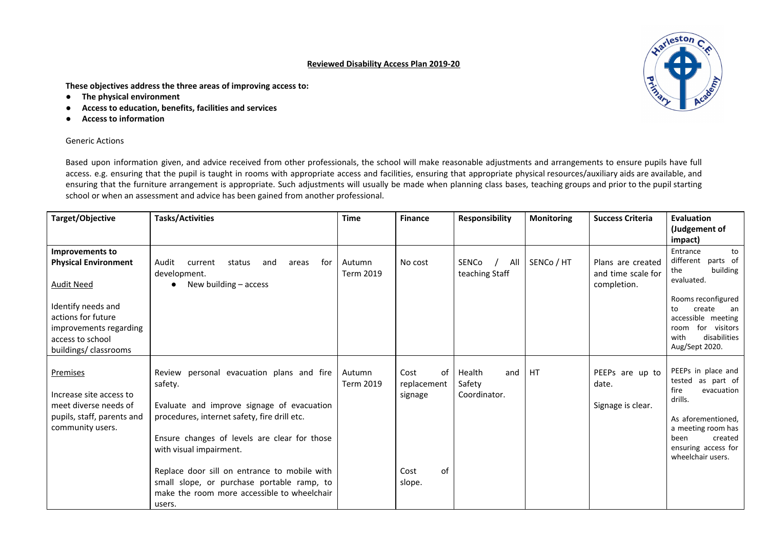## **Reviewed Disability Access Plan 2019-20**

**These objectives address the three areas of improving access to:**

- **The physical environment**
- **Access to education, benefits, facilities and services**
- **Access to information**

## Generic Actions

Based upon information given, and advice received from other professionals, the school will make reasonable adjustments and arrangements to ensure pupils have full access. e.g. ensuring that the pupil is taught in rooms with appropriate access and facilities, ensuring that appropriate physical resources/auxiliary aids are available, and ensuring that the furniture arrangement is appropriate. Such adjustments will usually be made when planning class bases, teaching groups and prior to the pupil starting school or when an assessment and advice has been gained from another professional.

| Target/Objective                                                                                                                                                                      | <b>Tasks/Activities</b>                                                                                                                                                                                                                                                                                                                                                              | <b>Time</b>                | <b>Finance</b>                                               | Responsibility                          | <b>Monitoring</b> | <b>Success Criteria</b>                                | Evaluation<br>(Judgement of<br>impact)                                                                                                                                                                    |
|---------------------------------------------------------------------------------------------------------------------------------------------------------------------------------------|--------------------------------------------------------------------------------------------------------------------------------------------------------------------------------------------------------------------------------------------------------------------------------------------------------------------------------------------------------------------------------------|----------------------------|--------------------------------------------------------------|-----------------------------------------|-------------------|--------------------------------------------------------|-----------------------------------------------------------------------------------------------------------------------------------------------------------------------------------------------------------|
| Improvements to<br><b>Physical Environment</b><br><b>Audit Need</b><br>Identify needs and<br>actions for future<br>improvements regarding<br>access to school<br>buildings/classrooms | Audit<br>status<br>for<br>current<br>and<br>areas<br>development.<br>New building - access                                                                                                                                                                                                                                                                                           | Autumn<br><b>Term 2019</b> | No cost                                                      | SENCo<br>All<br>teaching Staff          | SENCo / HT        | Plans are created<br>and time scale for<br>completion. | Entrance<br>to<br>different parts of<br>the<br>building<br>evaluated.<br>Rooms reconfigured<br>create<br>an<br>to<br>accessible meeting<br>for visitors<br>room<br>disabilities<br>with<br>Aug/Sept 2020. |
| Premises<br>Increase site access to<br>meet diverse needs of<br>pupils, staff, parents and<br>community users.                                                                        | Review personal evacuation plans and fire<br>safety.<br>Evaluate and improve signage of evacuation<br>procedures, internet safety, fire drill etc.<br>Ensure changes of levels are clear for those<br>with visual impairment.<br>Replace door sill on entrance to mobile with<br>small slope, or purchase portable ramp, to<br>make the room more accessible to wheelchair<br>users. | Autumn<br><b>Term 2019</b> | Cost<br>of<br>replacement<br>signage<br>of<br>Cost<br>slope. | Health<br>and<br>Safety<br>Coordinator. | HT                | PEEPs are up to<br>date.<br>Signage is clear.          | PEEPs in place and<br>tested as part of<br>fire<br>evacuation<br>drills.<br>As aforementioned,<br>a meeting room has<br>been<br>created<br>ensuring access for<br>wheelchair users.                       |

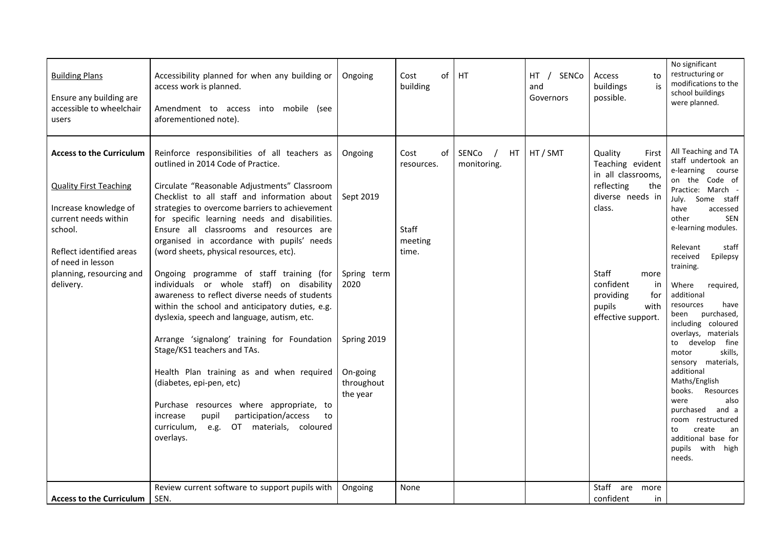| <b>Building Plans</b><br>Ensure any building are<br>accessible to wheelchair<br>users                                                                                                                                  | Accessibility planned for when any building or<br>access work is planned.<br>mobile (see<br>Amendment to access into<br>aforementioned note).                                                                                                                                                                                                                                                                                                                                                                                                                                                                                                                                                                                                                                                                                                                                                                                                                                               | Ongoing                                                                                          | οf<br>Cost<br>building                                | HT                         | HT<br>SENCo<br>and<br>Governors | to<br>Access<br>is<br>buildings<br>possible.                                                                                                                                                                         | No significant<br>restructuring or<br>modifications to the<br>school buildings<br>were planned.                                                                                                                                                                                                                                                                                                                                                                                                                                                                                                                                           |
|------------------------------------------------------------------------------------------------------------------------------------------------------------------------------------------------------------------------|---------------------------------------------------------------------------------------------------------------------------------------------------------------------------------------------------------------------------------------------------------------------------------------------------------------------------------------------------------------------------------------------------------------------------------------------------------------------------------------------------------------------------------------------------------------------------------------------------------------------------------------------------------------------------------------------------------------------------------------------------------------------------------------------------------------------------------------------------------------------------------------------------------------------------------------------------------------------------------------------|--------------------------------------------------------------------------------------------------|-------------------------------------------------------|----------------------------|---------------------------------|----------------------------------------------------------------------------------------------------------------------------------------------------------------------------------------------------------------------|-------------------------------------------------------------------------------------------------------------------------------------------------------------------------------------------------------------------------------------------------------------------------------------------------------------------------------------------------------------------------------------------------------------------------------------------------------------------------------------------------------------------------------------------------------------------------------------------------------------------------------------------|
| <b>Access to the Curriculum</b><br><b>Quality First Teaching</b><br>Increase knowledge of<br>current needs within<br>school.<br>Reflect identified areas<br>of need in lesson<br>planning, resourcing and<br>delivery. | Reinforce responsibilities of all teachers as<br>outlined in 2014 Code of Practice.<br>Circulate "Reasonable Adjustments" Classroom<br>Checklist to all staff and information about<br>strategies to overcome barriers to achievement<br>for specific learning needs and disabilities.<br>Ensure all classrooms and resources are<br>organised in accordance with pupils' needs<br>(word sheets, physical resources, etc).<br>Ongoing programme of staff training (for<br>individuals or whole staff) on disability<br>awareness to reflect diverse needs of students<br>within the school and anticipatory duties, e.g.<br>dyslexia, speech and language, autism, etc.<br>Arrange 'signalong' training for Foundation<br>Stage/KS1 teachers and TAs.<br>Health Plan training as and when required<br>(diabetes, epi-pen, etc)<br>Purchase resources where appropriate, to<br>participation/access<br>increase<br>pupil<br>to<br>curriculum,<br>OT materials, coloured<br>e.g.<br>overlays. | Ongoing<br>Sept 2019<br>Spring term<br>2020<br>Spring 2019<br>On-going<br>throughout<br>the year | 0f<br>Cost<br>resources.<br>Staff<br>meeting<br>time. | SENCo<br>HT<br>monitoring. | HT / SMT                        | Quality<br>First<br>Teaching evident<br>in all classrooms,<br>reflecting<br>the<br>diverse needs in<br>class.<br><b>Staff</b><br>more<br>confident<br>in<br>providing<br>for<br>pupils<br>with<br>effective support. | All Teaching and TA<br>staff undertook an<br>e-learning course<br>on the Code of<br>Practice: March -<br>July. Some staff<br>accessed<br>have<br>other<br>SEN<br>e-learning modules.<br>Relevant<br>staff<br>received<br>Epilepsy<br>training.<br>Where<br>required,<br>additional<br>resources<br>have<br>purchased,<br>been<br>including coloured<br>overlays, materials<br>develop<br>fine<br>to<br>skills,<br>motor<br>sensory materials,<br>additional<br>Maths/English<br>books.<br>Resources<br>also<br>were<br>purchased<br>and a<br>room restructured<br>create<br>to<br>an<br>additional base for<br>pupils with high<br>needs. |
| <b>Access to the Curriculum</b>                                                                                                                                                                                        | Review current software to support pupils with<br>SEN.                                                                                                                                                                                                                                                                                                                                                                                                                                                                                                                                                                                                                                                                                                                                                                                                                                                                                                                                      | Ongoing                                                                                          | None                                                  |                            |                                 | Staff<br>are<br>more<br>confident<br>in                                                                                                                                                                              |                                                                                                                                                                                                                                                                                                                                                                                                                                                                                                                                                                                                                                           |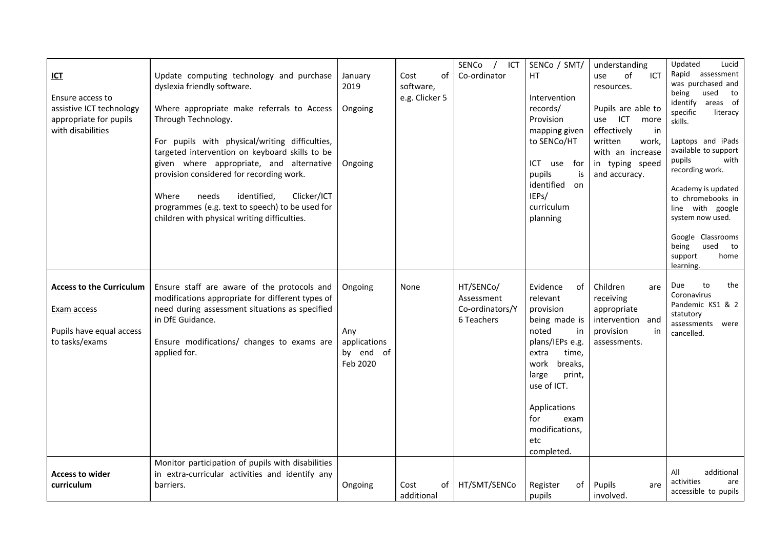| <u>ICT</u><br>Ensure access to<br>assistive ICT technology<br>appropriate for pupils<br>with disabilities | Update computing technology and purchase<br>dyslexia friendly software.<br>Where appropriate make referrals to Access<br>Through Technology.<br>For pupils with physical/writing difficulties,<br>targeted intervention on keyboard skills to be<br>given where appropriate, and alternative<br>provision considered for recording work.<br>identified,<br>Clicker/ICT<br>Where<br>needs<br>programmes (e.g. text to speech) to be used for<br>children with physical writing difficulties. | January<br>2019<br>Ongoing<br>Ongoing                   | Cost<br>οf<br>software,<br>e.g. Clicker 5 | SENCo<br>ICT<br>Co-ordinator                             | SENCo / SMT/<br>HT.<br>Intervention<br>records/<br>Provision<br>mapping given<br>to SENCo/HT<br>ICT use for<br>pupils<br>is<br>identified<br>on<br>IEPs/<br>curriculum<br>planning                                                      | understanding<br>of<br>ICT<br>use<br>resources.<br>Pupils are able to<br>ICT<br>use<br>more<br>effectively<br>in<br>written<br>work,<br>with an increase<br>in typing speed<br>and accuracy. | Lucid<br>Updated<br>Rapid<br>assessment<br>was purchased and<br>being<br>used<br>to<br>areas of<br>identify<br>specific<br>literacy<br>skills.<br>Laptops and iPads<br>available to support<br>pupils<br>with<br>recording work.<br>Academy is updated<br>to chromebooks in<br>line with google<br>system now used.<br>Google Classrooms<br>being<br>used<br>to<br>home<br>support<br>learning. |
|-----------------------------------------------------------------------------------------------------------|---------------------------------------------------------------------------------------------------------------------------------------------------------------------------------------------------------------------------------------------------------------------------------------------------------------------------------------------------------------------------------------------------------------------------------------------------------------------------------------------|---------------------------------------------------------|-------------------------------------------|----------------------------------------------------------|-----------------------------------------------------------------------------------------------------------------------------------------------------------------------------------------------------------------------------------------|----------------------------------------------------------------------------------------------------------------------------------------------------------------------------------------------|-------------------------------------------------------------------------------------------------------------------------------------------------------------------------------------------------------------------------------------------------------------------------------------------------------------------------------------------------------------------------------------------------|
| <b>Access to the Curriculum</b><br>Exam access<br>Pupils have equal access<br>to tasks/exams              | Ensure staff are aware of the protocols and<br>modifications appropriate for different types of<br>need during assessment situations as specified<br>in DfE Guidance.<br>Ensure modifications/ changes to exams are<br>applied for.                                                                                                                                                                                                                                                         | Ongoing<br>Any<br>applications<br>by end of<br>Feb 2020 | None                                      | HT/SENCo/<br>Assessment<br>Co-ordinators/Y<br>6 Teachers | Evidence<br>0f<br>relevant<br>provision<br>being made is<br>noted<br>in<br>plans/IEPs e.g.<br>extra<br>time,<br>work<br>breaks,<br>large<br>print,<br>use of ICT.<br>Applications<br>for<br>exam<br>modifications,<br>etc<br>completed. | Children<br>are<br>receiving<br>appropriate<br>intervention and<br>provision<br>in<br>assessments.                                                                                           | Due<br>the<br>to<br>Coronavirus<br>Pandemic KS1 & 2<br>statutory<br>assessments<br>were<br>cancelled.                                                                                                                                                                                                                                                                                           |
| <b>Access to wider</b><br>curriculum                                                                      | Monitor participation of pupils with disabilities<br>in extra-curricular activities and identify any<br>barriers.                                                                                                                                                                                                                                                                                                                                                                           | Ongoing                                                 | Cost<br>οf<br>additional                  | HT/SMT/SENCo                                             | Register<br>of<br>pupils                                                                                                                                                                                                                | Pupils<br>are<br>involved.                                                                                                                                                                   | All<br>additional<br>activities<br>are<br>accessible to pupils                                                                                                                                                                                                                                                                                                                                  |